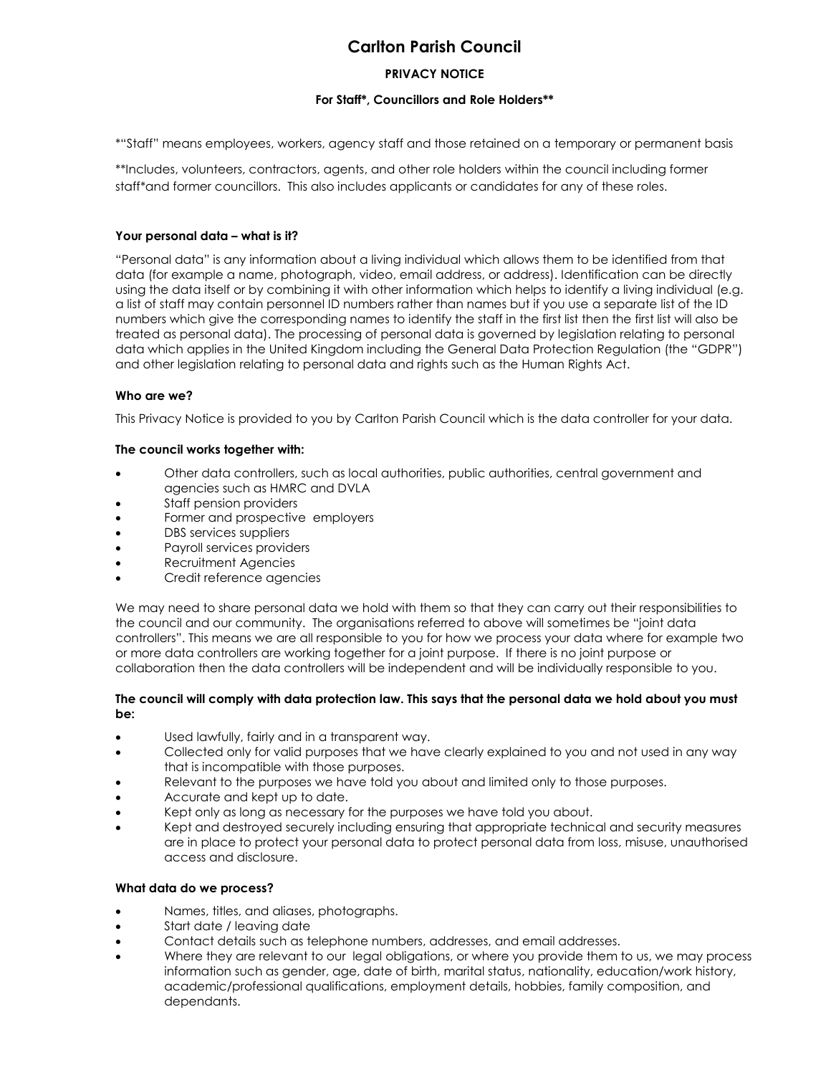# **Carlton Parish Council**

# **PRIVACY NOTICE**

## **For Staff\*, Councillors and Role Holders\*\***

\*"Staff" means employees, workers, agency staff and those retained on a temporary or permanent basis

\*\*Includes, volunteers, contractors, agents, and other role holders within the council including former staff\*and former councillors. This also includes applicants or candidates for any of these roles.

# **Your personal data – what is it?**

"Personal data" is any information about a living individual which allows them to be identified from that data (for example a name, photograph, video, email address, or address). Identification can be directly using the data itself or by combining it with other information which helps to identify a living individual (e.g. a list of staff may contain personnel ID numbers rather than names but if you use a separate list of the ID numbers which give the corresponding names to identify the staff in the first list then the first list will also be treated as personal data). The processing of personal data is governed by legislation relating to personal data which applies in the United Kingdom including the General Data Protection Regulation (the "GDPR") and other legislation relating to personal data and rights such as the Human Rights Act.

# **Who are we?**

This Privacy Notice is provided to you by Carlton Parish Council which is the data controller for your data.

# **The council works together with:**

- Other data controllers, such as local authorities, public authorities, central government and agencies such as HMRC and DVLA
- Staff pension providers
- Former and prospective employers
- DBS services suppliers
- Payroll services providers
- Recruitment Agencies
- Credit reference agencies

We may need to share personal data we hold with them so that they can carry out their responsibilities to the council and our community. The organisations referred to above will sometimes be "joint data controllers". This means we are all responsible to you for how we process your data where for example two or more data controllers are working together for a joint purpose. If there is no joint purpose or collaboration then the data controllers will be independent and will be individually responsible to you.

## **The council will comply with data protection law. This says that the personal data we hold about you must be:**

- Used lawfully, fairly and in a transparent way.
- Collected only for valid purposes that we have clearly explained to you and not used in any way that is incompatible with those purposes.
- Relevant to the purposes we have told you about and limited only to those purposes.
- Accurate and kept up to date.
- Kept only as long as necessary for the purposes we have told you about.
- Kept and destroyed securely including ensuring that appropriate technical and security measures are in place to protect your personal data to protect personal data from loss, misuse, unauthorised access and disclosure.

## **What data do we process?**

- Names, titles, and aliases, photographs.
- Start date / leaving date
- Contact details such as telephone numbers, addresses, and email addresses.
- Where they are relevant to our legal obligations, or where you provide them to us, we may process information such as gender, age, date of birth, marital status, nationality, education/work history, academic/professional qualifications, employment details, hobbies, family composition, and dependants.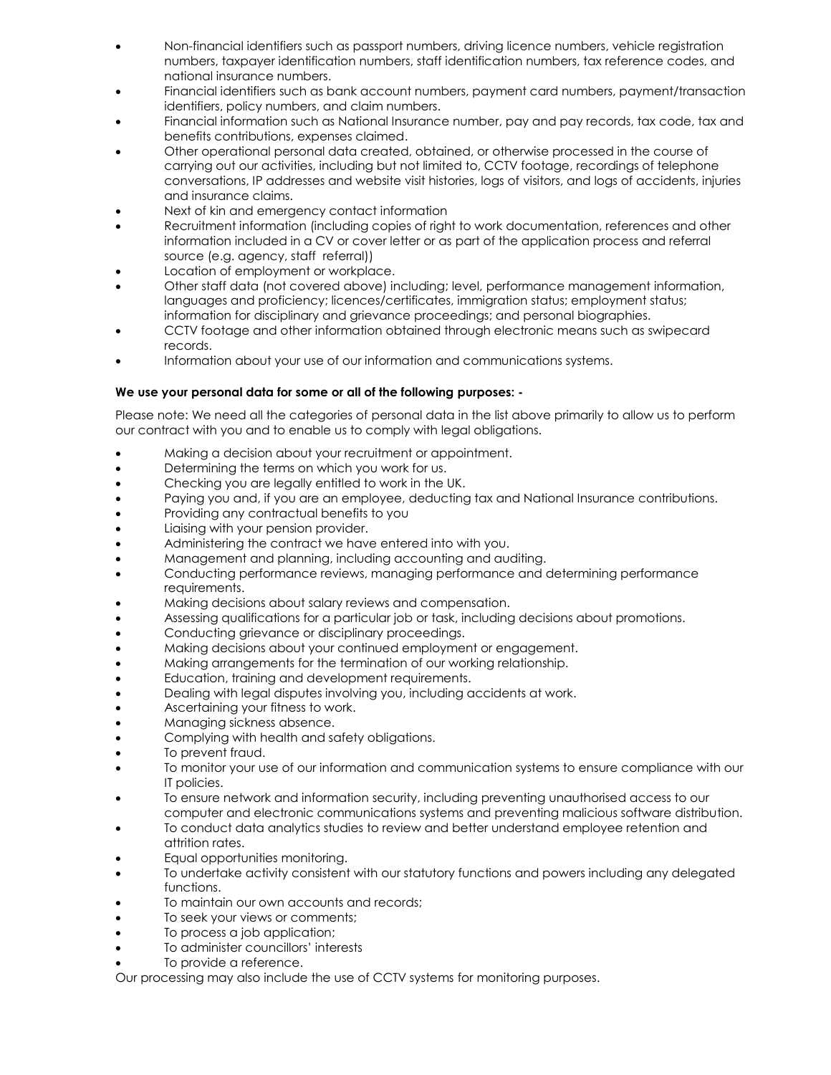- Non-financial identifiers such as passport numbers, driving licence numbers, vehicle registration numbers, taxpayer identification numbers, staff identification numbers, tax reference codes, and national insurance numbers.
- Financial identifiers such as bank account numbers, payment card numbers, payment/transaction identifiers, policy numbers, and claim numbers.
- Financial information such as National Insurance number, pay and pay records, tax code, tax and benefits contributions, expenses claimed.
- Other operational personal data created, obtained, or otherwise processed in the course of carrying out our activities, including but not limited to, CCTV footage, recordings of telephone conversations, IP addresses and website visit histories, logs of visitors, and logs of accidents, injuries and insurance claims.
- Next of kin and emergency contact information
- Recruitment information (including copies of right to work documentation, references and other information included in a CV or cover letter or as part of the application process and referral source (e.g. agency, staff referral))
- Location of employment or workplace.
- Other staff data (not covered above) including; level, performance management information, languages and proficiency; licences/certificates, immigration status; employment status; information for disciplinary and grievance proceedings; and personal biographies.
- CCTV footage and other information obtained through electronic means such as swipecard records.
- Information about your use of our information and communications systems.

# **We use your personal data for some or all of the following purposes: -**

Please note: We need all the categories of personal data in the list above primarily to allow us to perform our contract with you and to enable us to comply with legal obligations.

- Making a decision about your recruitment or appointment.
- **•** Determining the terms on which you work for us.
- Checking you are legally entitled to work in the UK.
- Paying you and, if you are an employee, deducting tax and National Insurance contributions.
- Providing any contractual benefits to you
- Liaising with your pension provider.
- Administering the contract we have entered into with you.
- Management and planning, including accounting and auditing.
- Conducting performance reviews, managing performance and determining performance requirements.
- Making decisions about salary reviews and compensation.
- Assessing qualifications for a particular job or task, including decisions about promotions.
- Conducting grievance or disciplinary proceedings.
- Making decisions about your continued employment or engagement.
- Making arrangements for the termination of our working relationship.
- **Education, training and development requirements.**
- Dealing with legal disputes involving you, including accidents at work.
- Ascertaining your fitness to work.
- Managing sickness absence.
- Complying with health and safety obligations.
- To prevent fraud.
- To monitor your use of our information and communication systems to ensure compliance with our IT policies.
- To ensure network and information security, including preventing unauthorised access to our computer and electronic communications systems and preventing malicious software distribution.
- To conduct data analytics studies to review and better understand employee retention and attrition rates.
- Equal opportunities monitoring.
- To undertake activity consistent with our statutory functions and powers including any delegated functions.
- To maintain our own accounts and records;
- To seek your views or comments;
- To process a job application;
- To administer councillors' interests
- To provide a reference.

Our processing may also include the use of CCTV systems for monitoring purposes.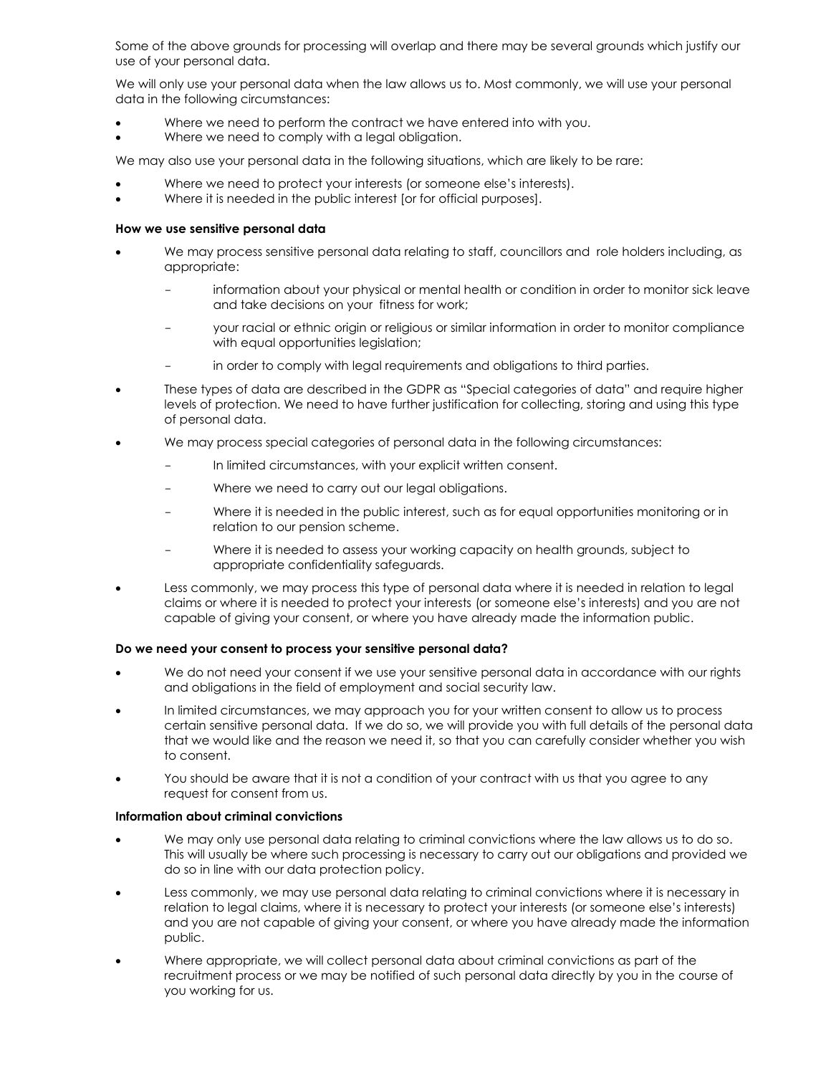Some of the above grounds for processing will overlap and there may be several grounds which justify our use of your personal data.

We will only use your personal data when the law allows us to. Most commonly, we will use your personal data in the following circumstances:

- Where we need to perform the contract we have entered into with you.
- Where we need to comply with a legal obligation.

We may also use your personal data in the following situations, which are likely to be rare:

- Where we need to protect your interests (or someone else's interests).
- Where it is needed in the public interest [or for official purposes].

#### **How we use sensitive personal data**

- We may process sensitive personal data relating to staff, councillors and role holders including, as appropriate:
	- information about your physical or mental health or condition in order to monitor sick leave and take decisions on your fitness for work;
	- your racial or ethnic origin or religious or similar information in order to monitor compliance with equal opportunities legislation;
	- in order to comply with legal requirements and obligations to third parties.
- These types of data are described in the GDPR as "Special categories of data" and require higher levels of protection. We need to have further justification for collecting, storing and using this type of personal data.
- We may process special categories of personal data in the following circumstances:
	- In limited circumstances, with your explicit written consent.
	- Where we need to carry out our legal obligations.
	- Where it is needed in the public interest, such as for equal opportunities monitoring or in relation to our pension scheme.
	- Where it is needed to assess your working capacity on health grounds, subject to appropriate confidentiality safeguards.
- Less commonly, we may process this type of personal data where it is needed in relation to legal claims or where it is needed to protect your interests (or someone else's interests) and you are not capable of giving your consent, or where you have already made the information public.

#### **Do we need your consent to process your sensitive personal data?**

- We do not need your consent if we use your sensitive personal data in accordance with our rights and obligations in the field of employment and social security law.
- In limited circumstances, we may approach you for your written consent to allow us to process certain sensitive personal data. If we do so, we will provide you with full details of the personal data that we would like and the reason we need it, so that you can carefully consider whether you wish to consent.
- You should be aware that it is not a condition of your contract with us that you agree to any request for consent from us.

## **Information about criminal convictions**

- We may only use personal data relating to criminal convictions where the law allows us to do so. This will usually be where such processing is necessary to carry out our obligations and provided we do so in line with our data protection policy.
- Less commonly, we may use personal data relating to criminal convictions where it is necessary in relation to legal claims, where it is necessary to protect your interests (or someone else's interests) and you are not capable of giving your consent, or where you have already made the information public.
- Where appropriate, we will collect personal data about criminal convictions as part of the recruitment process or we may be notified of such personal data directly by you in the course of you working for us.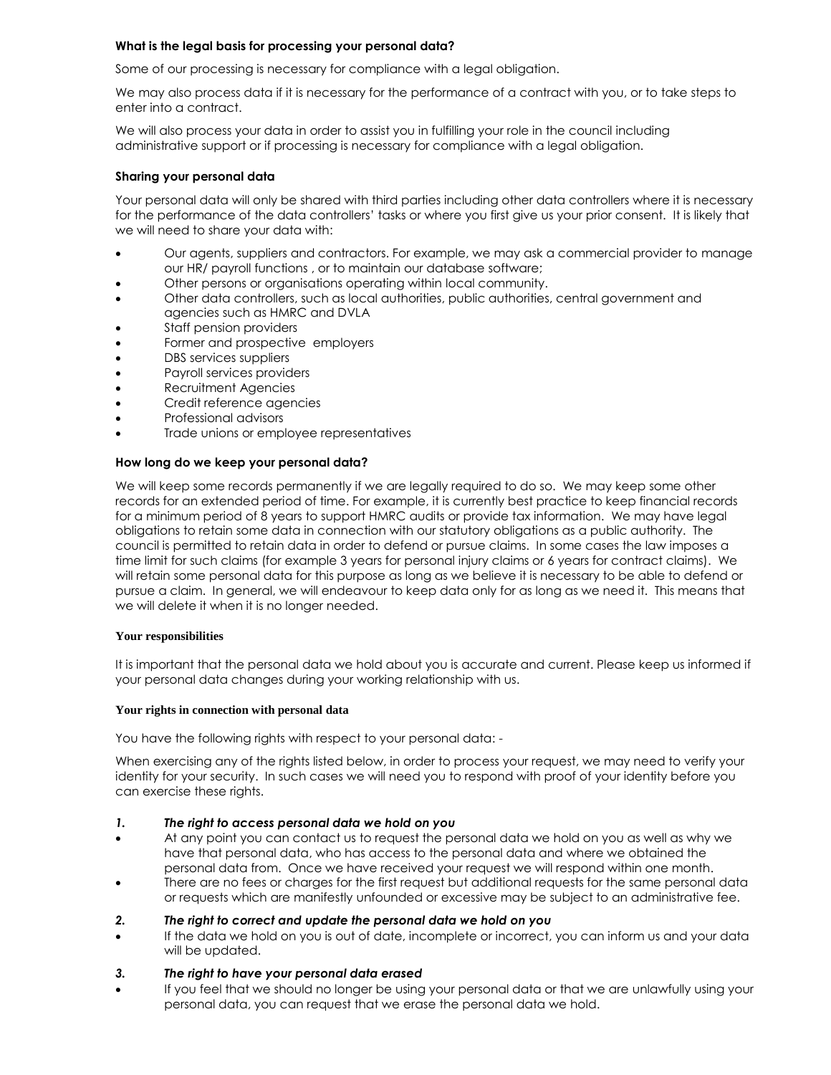## **What is the legal basis for processing your personal data?**

Some of our processing is necessary for compliance with a legal obligation.

We may also process data if it is necessary for the performance of a contract with you, or to take steps to enter into a contract.

We will also process your data in order to assist you in fulfilling your role in the council including administrative support or if processing is necessary for compliance with a legal obligation.

## **Sharing your personal data**

Your personal data will only be shared with third parties including other data controllers where it is necessary for the performance of the data controllers' tasks or where you first give us your prior consent. It is likely that we will need to share your data with:

- Our agents, suppliers and contractors. For example, we may ask a commercial provider to manage our HR/ payroll functions , or to maintain our database software;
- Other persons or organisations operating within local community.
- Other data controllers, such as local authorities, public authorities, central government and agencies such as HMRC and DVLA
- Staff pension providers
- Former and prospective employers
- DBS services suppliers
- Payroll services providers
- Recruitment Agencies
- Credit reference agencies
- Professional advisors
- Trade unions or employee representatives

#### **How long do we keep your personal data?**

We will keep some records permanently if we are legally required to do so. We may keep some other records for an extended period of time. For example, it is currently best practice to keep financial records for a minimum period of 8 years to support HMRC audits or provide tax information. We may have legal obligations to retain some data in connection with our statutory obligations as a public authority. The council is permitted to retain data in order to defend or pursue claims. In some cases the law imposes a time limit for such claims (for example 3 years for personal injury claims or 6 years for contract claims). We will retain some personal data for this purpose as long as we believe it is necessary to be able to defend or pursue a claim. In general, we will endeavour to keep data only for as long as we need it. This means that we will delete it when it is no longer needed.

#### **Your responsibilities**

It is important that the personal data we hold about you is accurate and current. Please keep us informed if your personal data changes during your working relationship with us.

#### **Your rights in connection with personal data**

You have the following rights with respect to your personal data: -

When exercising any of the rights listed below, in order to process your request, we may need to verify your identity for your security. In such cases we will need you to respond with proof of your identity before you can exercise these rights.

#### *1. The right to access personal data we hold on you*

- At any point you can contact us to request the personal data we hold on you as well as why we have that personal data, who has access to the personal data and where we obtained the personal data from. Once we have received your request we will respond within one month.
- There are no fees or charges for the first request but additional requests for the same personal data or requests which are manifestly unfounded or excessive may be subject to an administrative fee.
- *2. The right to correct and update the personal data we hold on you*
- If the data we hold on you is out of date, incomplete or incorrect, you can inform us and your data will be updated.

## *3. The right to have your personal data erased*

 If you feel that we should no longer be using your personal data or that we are unlawfully using your personal data, you can request that we erase the personal data we hold.